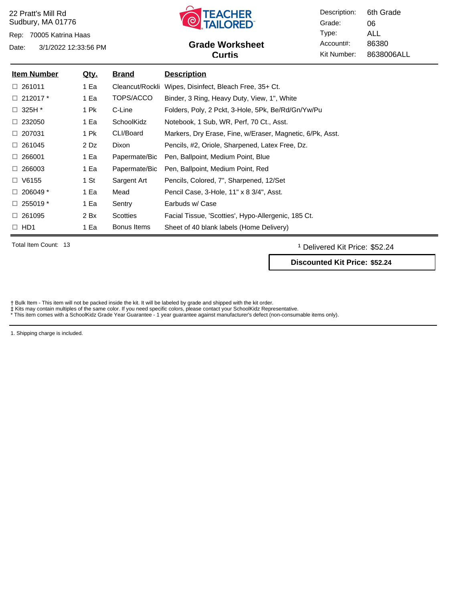Rep: 70005 Katrina Haas



## Date: 3/1/2022 12:33:56 PM **Grade Worksheet** Account#: 86380 **Curtis**

Description: Grade: Type: Account#: Kit Number: 06 ALL 8638006ALL 6th Grade

| <b>Item Number</b> | <u>Qty.</u> | <u>Brand</u>    | <b>Description</b>                                        |
|--------------------|-------------|-----------------|-----------------------------------------------------------|
| $\Box$ 261011      | 1 Ea        | Cleancut/Rockli | Wipes, Disinfect, Bleach Free, 35+ Ct.                    |
| $\Box$ 212017 $^*$ | 1 Ea        | TOPS/ACCO       | Binder, 3 Ring, Heavy Duty, View, 1", White               |
| $\Box$ 325H $^*$   | 1 Pk        | C-Line          | Folders, Poly, 2 Pckt, 3-Hole, 5Pk, Be/Rd/Gn/Yw/Pu        |
| $\Box$ 232050      | 1 Ea        | SchoolKidz      | Notebook, 1 Sub, WR, Perf, 70 Ct., Asst.                  |
| $\Box$ 207031      | 1 Pk        | CLI/Board       | Markers, Dry Erase, Fine, w/Eraser, Magnetic, 6/Pk, Asst. |
| $\Box$ 261045      | 2 Dz        | Dixon           | Pencils, #2, Oriole, Sharpened, Latex Free, Dz.           |
| $\Box$ 266001      | 1 Ea        | Papermate/Bic   | Pen, Ballpoint, Medium Point, Blue                        |
| $\Box$ 266003      | 1 Ea        | Papermate/Bic   | Pen, Ballpoint, Medium Point, Red                         |
| $\Box$ V6155       | 1 St        | Sargent Art     | Pencils, Colored, 7", Sharpened, 12/Set                   |
| $\Box$ 206049 $^*$ | 1 Ea        | Mead            | Pencil Case, 3-Hole, 11" x 8 3/4", Asst.                  |
| $\Box$ 255019 $^*$ | 1 Ea        | Sentry          | Earbuds w/ Case                                           |
| $\Box$ 261095      | 2 Bx        | Scotties        | Facial Tissue, 'Scotties', Hypo-Allergenic, 185 Ct.       |
| $\Box$ HD1         | 1 Ea        | Bonus Items     | Sheet of 40 blank labels (Home Delivery)                  |

Total Item Count: 13 **and Transfer Count: 13** Delivered Kit Price: \$52.24

**Discounted Kit Price: \$52.24**

Bulk Item - This item will not be packed inside the kit. It will be labeled by grade and shipped with the kit order.

 $\equiv$ 

‡ Kits may contain multiples of the same color. If you need specific colors, please contact your SchoolKidz Representative.<br>\* This item comes with a SchoolKidz Grade Year Guarantee - 1 year guarantee against manufacturer's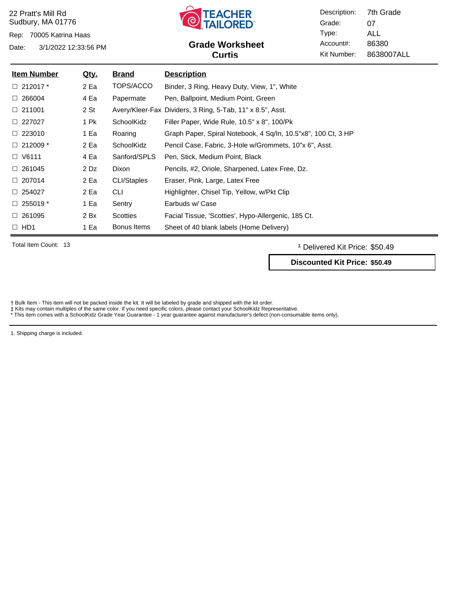Rep: 70005 Katrina Haas



## Date: 3/1/2022 12:33:56 PM **Grade Worksheet** Account#: 86380 **Curtis**

Description: Grade: Type: Account#: Kit Number: 07 ALL 8638007ALL 7th Grade

| <b>Item Number</b> | <u>Qty.</u> | <b>Brand</b>    | <b>Description</b>                                            |
|--------------------|-------------|-----------------|---------------------------------------------------------------|
| $\Box$ 212017 $^*$ | 2 Ea        | TOPS/ACCO       | Binder, 3 Ring, Heavy Duty, View, 1", White                   |
| $\Box$ 266004      | 4 Ea        | Papermate       | Pen, Ballpoint, Medium Point, Green                           |
| $\Box$ 211001      | 2 St        |                 | Avery/Kleer-Fax Dividers, 3 Ring, 5-Tab, 11" x 8.5", Asst.    |
| $\Box$ 227027      | 1 Pk        | SchoolKidz      | Filler Paper, Wide Rule, 10.5" x 8", 100/Pk                   |
| $\Box$ 223010      | 1 Ea        | Roaring         | Graph Paper, Spiral Notebook, 4 Sq/ln, 10.5"x8", 100 Ct, 3 HP |
| $\Box$ 212009 *    | 2 Ea        | SchoolKidz      | Pencil Case, Fabric, 3-Hole w/Grommets, 10"x 6", Asst.        |
| $\Box$ V6111       | 4 Ea        | Sanford/SPLS    | Pen, Stick, Medium Point, Black                               |
| $\Box$ 261045      | 2 Dz        | Dixon           | Pencils, #2, Oriole, Sharpened, Latex Free, Dz.               |
| $\Box$ 207014      | 2 Ea        | CLI/Staples     | Eraser, Pink, Large, Latex Free                               |
| $\Box$ 254027      | 2 Ea        | CLI             | Highlighter, Chisel Tip, Yellow, w/Pkt Clip                   |
| $\Box$ 255019 $^*$ | 1 Ea        | Sentry          | Earbuds w/ Case                                               |
| $\Box$ 261095      | 2 Bx        | <b>Scotties</b> | Facial Tissue, 'Scotties', Hypo-Allergenic, 185 Ct.           |
| $\Box$ HD1         | 1 Ea        | Bonus Items     | Sheet of 40 blank labels (Home Delivery)                      |

Total Item Count: 13 **and Transfer Count:** 13 **and Transfer Count:** 13 **and Transfer Count:** 13 **and Transfer Count:** 13 **and Transfer Count:** 13 **and Transfer Count:** 13 **and Transfer Count:** 13 **and Transfer Count:** 13

**Discounted Kit Price: \$50.49**

Bulk Item - This item will not be packed inside the kit. It will be labeled by grade and shipped with the kit order.

 $\equiv$ 

‡ Kits may contain multiples of the same color. If you need specific colors, please contact your SchoolKidz Representative.<br>\* This item comes with a SchoolKidz Grade Year Guarantee - 1 year guarantee against manufacturer's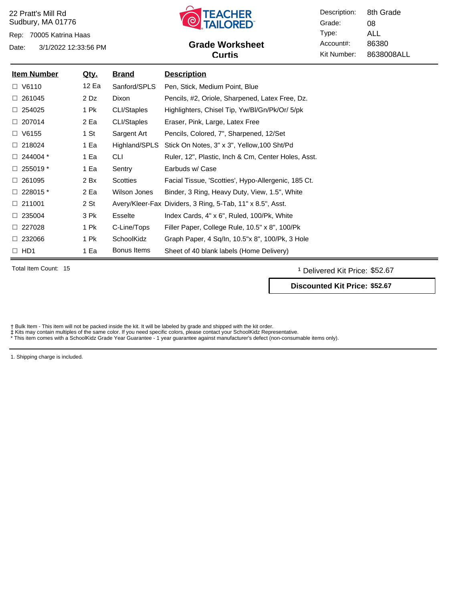Rep: 70005 Katrina Haas

Date: 3/1/2022 12:33:56 PM **Grade Worksheet** Account#: 86380



# **Curtis**

Description: Grade: Type: Account#: Kit Number: 08 ALL 8638008ALL 8th Grade

| <b>Item Number</b> | <u>Qty.</u> | <u>Brand</u>    | <b>Description</b>                                         |
|--------------------|-------------|-----------------|------------------------------------------------------------|
| $\Box$ V6110       | 12 Ea       | Sanford/SPLS    | Pen, Stick, Medium Point, Blue                             |
| $\Box$ 261045      | 2 Dz        | Dixon           | Pencils, #2, Oriole, Sharpened, Latex Free, Dz.            |
| $\Box$ 254025      | 1 Pk        | CLI/Staples     | Highlighters, Chisel Tip, Yw/Bl/Gn/Pk/Or/ 5/pk             |
| $\Box$ 207014      | 2 Ea        | CLI/Staples     | Eraser, Pink, Large, Latex Free                            |
| $\Box$ V6155       | 1 St        | Sargent Art     | Pencils, Colored, 7", Sharpened, 12/Set                    |
| $\Box$ 218024      | 1 Ea        | Highland/SPLS   | Stick On Notes, 3" x 3", Yellow, 100 Sht/Pd                |
| $\Box$ 244004 $^*$ | 1 Ea        | <b>CLI</b>      | Ruler, 12", Plastic, Inch & Cm, Center Holes, Asst.        |
| $\Box$ 255019 $^*$ | 1 Ea        | Sentry          | Earbuds w/ Case                                            |
| 261095<br>□.       | 2 Bx        | <b>Scotties</b> | Facial Tissue, 'Scotties', Hypo-Allergenic, 185 Ct.        |
| $\Box$ 228015 $^*$ | 2 Ea        | Wilson Jones    | Binder, 3 Ring, Heavy Duty, View, 1.5", White              |
| $\Box$ 211001      | 2 St        |                 | Avery/Kleer-Fax Dividers, 3 Ring, 5-Tab, 11" x 8.5", Asst. |
| $\Box$ 235004      | 3 Pk        | Esselte         | Index Cards, 4" x 6", Ruled, 100/Pk, White                 |
| $\Box$ 227028      | 1 Pk        | C-Line/Tops     | Filler Paper, College Rule, 10.5" x 8", 100/Pk             |
| $\Box$ 232066      | 1 Pk        | SchoolKidz      | Graph Paper, 4 Sq/In, 10.5"x 8", 100/Pk, 3 Hole            |
| $\Box$ HD1         | 1 Ea        | Bonus Items     | Sheet of 40 blank labels (Home Delivery)                   |

Total Item Count: 15 **and Transfer Count:** 15 **and Transfer Count: 15** and Transfer Count: 15 **and Transfer Count: 15** and Transfer Count: 15 **and Transfer Count:** 15 and Transfer Count: 15 and Transfer Count: 15 and Trans

**Discounted Kit Price: \$52.67**

† Bulk Item - This item will not be packed inside the kit. It will be labeled by grade and shipped with the kit order.<br>‡ Kits may contain multiples of the same color. If you need specific colors, please contact your School